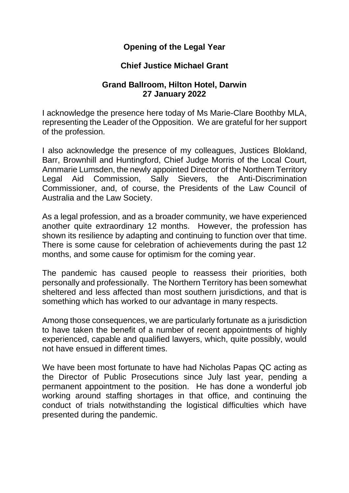## **Opening of the Legal Year**

## **Chief Justice Michael Grant**

## **Grand Ballroom, Hilton Hotel, Darwin 27 January 2022**

I acknowledge the presence here today of Ms Marie-Clare Boothby MLA, representing the Leader of the Opposition. We are grateful for her support of the profession.

I also acknowledge the presence of my colleagues, Justices Blokland, Barr, Brownhill and Huntingford, Chief Judge Morris of the Local Court, Annmarie Lumsden, the newly appointed Director of the Northern Territory Legal Aid Commission, Sally Sievers, the Anti-Discrimination Commissioner, and, of course, the Presidents of the Law Council of Australia and the Law Society.

As a legal profession, and as a broader community, we have experienced another quite extraordinary 12 months. However, the profession has shown its resilience by adapting and continuing to function over that time. There is some cause for celebration of achievements during the past 12 months, and some cause for optimism for the coming year.

The pandemic has caused people to reassess their priorities, both personally and professionally. The Northern Territory has been somewhat sheltered and less affected than most southern jurisdictions, and that is something which has worked to our advantage in many respects.

Among those consequences, we are particularly fortunate as a jurisdiction to have taken the benefit of a number of recent appointments of highly experienced, capable and qualified lawyers, which, quite possibly, would not have ensued in different times.

We have been most fortunate to have had Nicholas Papas QC acting as the Director of Public Prosecutions since July last year, pending a permanent appointment to the position. He has done a wonderful job working around staffing shortages in that office, and continuing the conduct of trials notwithstanding the logistical difficulties which have presented during the pandemic.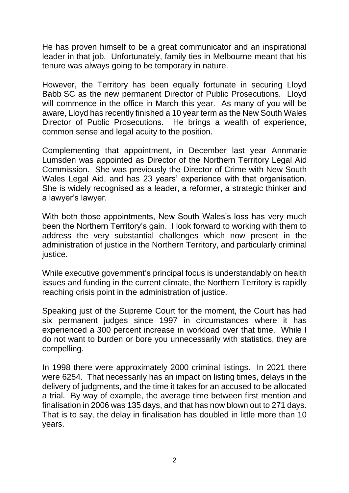He has proven himself to be a great communicator and an inspirational leader in that job. Unfortunately, family ties in Melbourne meant that his tenure was always going to be temporary in nature.

However, the Territory has been equally fortunate in securing Lloyd Babb SC as the new permanent Director of Public Prosecutions. Lloyd will commence in the office in March this year. As many of you will be aware, Lloyd has recently finished a 10 year term as the New South Wales Director of Public Prosecutions. He brings a wealth of experience, common sense and legal acuity to the position.

Complementing that appointment, in December last year Annmarie Lumsden was appointed as Director of the Northern Territory Legal Aid Commission. She was previously the Director of Crime with New South Wales Legal Aid, and has 23 years' experience with that organisation. She is widely recognised as a leader, a reformer, a strategic thinker and a lawyer's lawyer.

With both those appointments, New South Wales's loss has very much been the Northern Territory's gain. I look forward to working with them to address the very substantial challenges which now present in the administration of justice in the Northern Territory, and particularly criminal justice.

While executive government's principal focus is understandably on health issues and funding in the current climate, the Northern Territory is rapidly reaching crisis point in the administration of justice.

Speaking just of the Supreme Court for the moment, the Court has had six permanent judges since 1997 in circumstances where it has experienced a 300 percent increase in workload over that time. While I do not want to burden or bore you unnecessarily with statistics, they are compelling.

In 1998 there were approximately 2000 criminal listings. In 2021 there were 6254. That necessarily has an impact on listing times, delays in the delivery of judgments, and the time it takes for an accused to be allocated a trial. By way of example, the average time between first mention and finalisation in 2006 was 135 days, and that has now blown out to 271 days. That is to say, the delay in finalisation has doubled in little more than 10 years.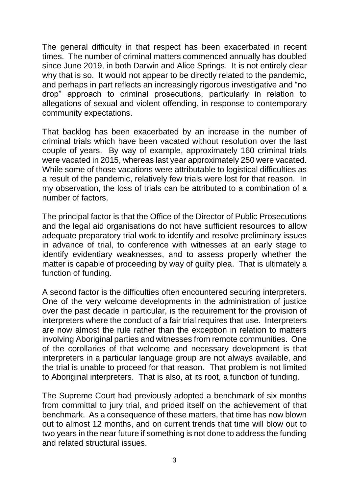The general difficulty in that respect has been exacerbated in recent times. The number of criminal matters commenced annually has doubled since June 2019, in both Darwin and Alice Springs. It is not entirely clear why that is so. It would not appear to be directly related to the pandemic, and perhaps in part reflects an increasingly rigorous investigative and "no drop" approach to criminal prosecutions, particularly in relation to allegations of sexual and violent offending, in response to contemporary community expectations.

That backlog has been exacerbated by an increase in the number of criminal trials which have been vacated without resolution over the last couple of years. By way of example, approximately 160 criminal trials were vacated in 2015, whereas last year approximately 250 were vacated. While some of those vacations were attributable to logistical difficulties as a result of the pandemic, relatively few trials were lost for that reason. In my observation, the loss of trials can be attributed to a combination of a number of factors.

The principal factor is that the Office of the Director of Public Prosecutions and the legal aid organisations do not have sufficient resources to allow adequate preparatory trial work to identify and resolve preliminary issues in advance of trial, to conference with witnesses at an early stage to identify evidentiary weaknesses, and to assess properly whether the matter is capable of proceeding by way of guilty plea. That is ultimately a function of funding.

A second factor is the difficulties often encountered securing interpreters. One of the very welcome developments in the administration of justice over the past decade in particular, is the requirement for the provision of interpreters where the conduct of a fair trial requires that use. Interpreters are now almost the rule rather than the exception in relation to matters involving Aboriginal parties and witnesses from remote communities. One of the corollaries of that welcome and necessary development is that interpreters in a particular language group are not always available, and the trial is unable to proceed for that reason. That problem is not limited to Aboriginal interpreters. That is also, at its root, a function of funding.

The Supreme Court had previously adopted a benchmark of six months from committal to jury trial, and prided itself on the achievement of that benchmark. As a consequence of these matters, that time has now blown out to almost 12 months, and on current trends that time will blow out to two years in the near future if something is not done to address the funding and related structural issues.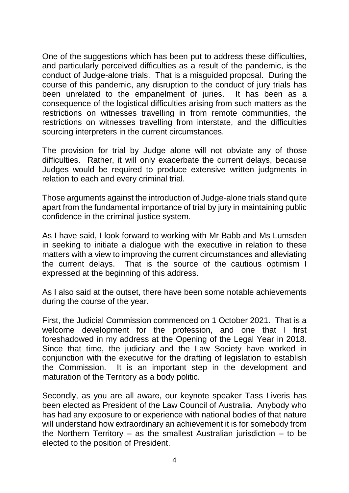One of the suggestions which has been put to address these difficulties, and particularly perceived difficulties as a result of the pandemic, is the conduct of Judge-alone trials. That is a misguided proposal. During the course of this pandemic, any disruption to the conduct of jury trials has been unrelated to the empanelment of juries. It has been as a consequence of the logistical difficulties arising from such matters as the restrictions on witnesses travelling in from remote communities, the restrictions on witnesses travelling from interstate, and the difficulties sourcing interpreters in the current circumstances.

The provision for trial by Judge alone will not obviate any of those difficulties. Rather, it will only exacerbate the current delays, because Judges would be required to produce extensive written judgments in relation to each and every criminal trial.

Those arguments against the introduction of Judge-alone trials stand quite apart from the fundamental importance of trial by jury in maintaining public confidence in the criminal justice system.

As I have said, I look forward to working with Mr Babb and Ms Lumsden in seeking to initiate a dialogue with the executive in relation to these matters with a view to improving the current circumstances and alleviating the current delays. That is the source of the cautious optimism I expressed at the beginning of this address.

As I also said at the outset, there have been some notable achievements during the course of the year.

First, the Judicial Commission commenced on 1 October 2021. That is a welcome development for the profession, and one that I first foreshadowed in my address at the Opening of the Legal Year in 2018. Since that time, the judiciary and the Law Society have worked in conjunction with the executive for the drafting of legislation to establish the Commission. It is an important step in the development and maturation of the Territory as a body politic.

Secondly, as you are all aware, our keynote speaker Tass Liveris has been elected as President of the Law Council of Australia. Anybody who has had any exposure to or experience with national bodies of that nature will understand how extraordinary an achievement it is for somebody from the Northern Territory – as the smallest Australian jurisdiction – to be elected to the position of President.